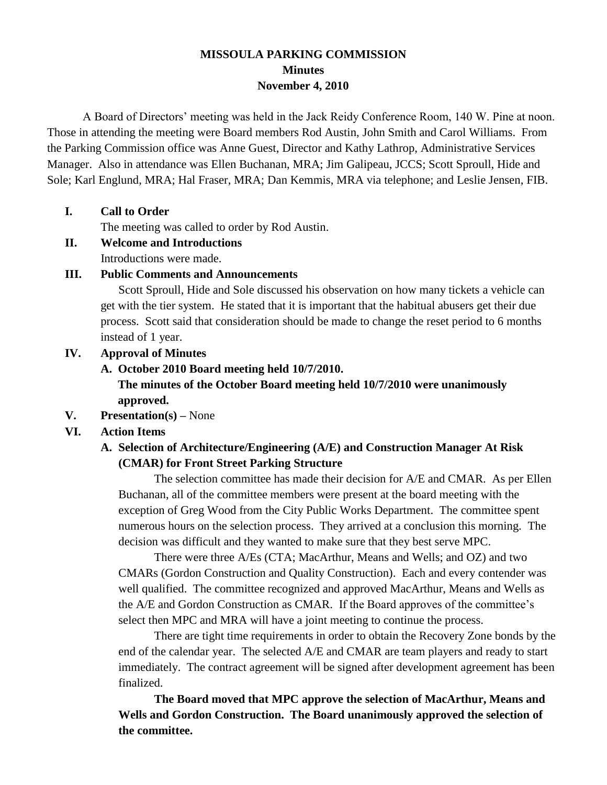# **MISSOULA PARKING COMMISSION Minutes November 4, 2010**

A Board of Directors' meeting was held in the Jack Reidy Conference Room, 140 W. Pine at noon. Those in attending the meeting were Board members Rod Austin, John Smith and Carol Williams. From the Parking Commission office was Anne Guest, Director and Kathy Lathrop, Administrative Services Manager. Also in attendance was Ellen Buchanan, MRA; Jim Galipeau, JCCS; Scott Sproull, Hide and Sole; Karl Englund, MRA; Hal Fraser, MRA; Dan Kemmis, MRA via telephone; and Leslie Jensen, FIB.

### **I. Call to Order**

The meeting was called to order by Rod Austin.

**II. Welcome and Introductions** Introductions were made.

### **III. Public Comments and Announcements**

Scott Sproull, Hide and Sole discussed his observation on how many tickets a vehicle can get with the tier system. He stated that it is important that the habitual abusers get their due process. Scott said that consideration should be made to change the reset period to 6 months instead of 1 year.

### **IV. Approval of Minutes**

### **A. October 2010 Board meeting held 10/7/2010.**

**The minutes of the October Board meeting held 10/7/2010 were unanimously approved.**

**V. Presentation(s) –** None

# **VI. Action Items**

# **A. Selection of Architecture/Engineering (A/E) and Construction Manager At Risk (CMAR) for Front Street Parking Structure**

The selection committee has made their decision for A/E and CMAR. As per Ellen Buchanan, all of the committee members were present at the board meeting with the exception of Greg Wood from the City Public Works Department. The committee spent numerous hours on the selection process. They arrived at a conclusion this morning. The decision was difficult and they wanted to make sure that they best serve MPC.

There were three A/Es (CTA; MacArthur, Means and Wells; and OZ) and two CMARs (Gordon Construction and Quality Construction). Each and every contender was well qualified. The committee recognized and approved MacArthur, Means and Wells as the A/E and Gordon Construction as CMAR. If the Board approves of the committee's select then MPC and MRA will have a joint meeting to continue the process.

There are tight time requirements in order to obtain the Recovery Zone bonds by the end of the calendar year. The selected A/E and CMAR are team players and ready to start immediately. The contract agreement will be signed after development agreement has been finalized.

**The Board moved that MPC approve the selection of MacArthur, Means and Wells and Gordon Construction. The Board unanimously approved the selection of the committee.**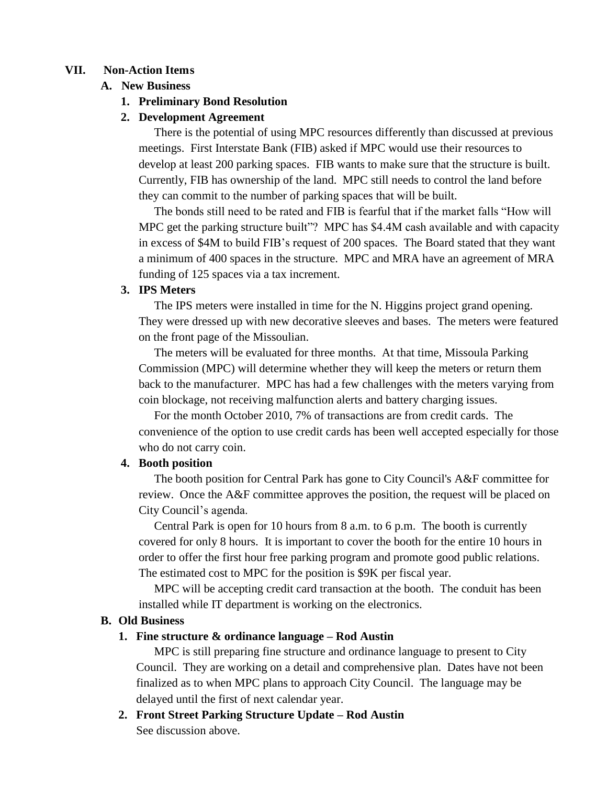#### **VII. Non-Action Items**

#### **A. New Business**

#### **1. Preliminary Bond Resolution**

#### **2. Development Agreement**

There is the potential of using MPC resources differently than discussed at previous meetings. First Interstate Bank (FIB) asked if MPC would use their resources to develop at least 200 parking spaces. FIB wants to make sure that the structure is built. Currently, FIB has ownership of the land. MPC still needs to control the land before they can commit to the number of parking spaces that will be built.

The bonds still need to be rated and FIB is fearful that if the market falls "How will MPC get the parking structure built"? MPC has \$4.4M cash available and with capacity in excess of \$4M to build FIB's request of 200 spaces. The Board stated that they want a minimum of 400 spaces in the structure. MPC and MRA have an agreement of MRA funding of 125 spaces via a tax increment.

#### **3. IPS Meters**

The IPS meters were installed in time for the N. Higgins project grand opening. They were dressed up with new decorative sleeves and bases. The meters were featured on the front page of the Missoulian.

The meters will be evaluated for three months. At that time, Missoula Parking Commission (MPC) will determine whether they will keep the meters or return them back to the manufacturer. MPC has had a few challenges with the meters varying from coin blockage, not receiving malfunction alerts and battery charging issues.

For the month October 2010, 7% of transactions are from credit cards. The convenience of the option to use credit cards has been well accepted especially for those who do not carry coin.

#### **4. Booth position**

The booth position for Central Park has gone to City Council's A&F committee for review. Once the A&F committee approves the position, the request will be placed on City Council's agenda.

Central Park is open for 10 hours from 8 a.m. to 6 p.m. The booth is currently covered for only 8 hours. It is important to cover the booth for the entire 10 hours in order to offer the first hour free parking program and promote good public relations. The estimated cost to MPC for the position is \$9K per fiscal year.

MPC will be accepting credit card transaction at the booth. The conduit has been installed while IT department is working on the electronics.

#### **B. Old Business**

#### **1. Fine structure & ordinance language – Rod Austin**

MPC is still preparing fine structure and ordinance language to present to City Council. They are working on a detail and comprehensive plan. Dates have not been finalized as to when MPC plans to approach City Council. The language may be delayed until the first of next calendar year.

**2. Front Street Parking Structure Update – Rod Austin** See discussion above.